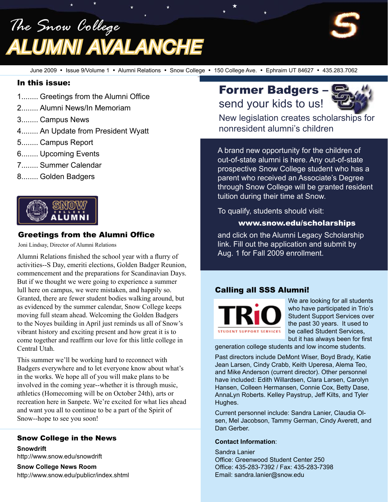*The Snow College Alumni Avalanche*

June 2009 • Issue 9/Volume 1 • Alumni Relations • Snow College • 150 College Ave. • Ephraim UT 84627 • 435.283.7062

#### In this issue:

- 1........ Greetings from the Alumni Office
- 2........ Alumni News/In Memoriam
- 3........ Campus News
- 4........ An Update from President Wyatt
- 5........ Campus Report
- 6........ Upcoming Events
- 7........ Summer Calendar
- 8........ Golden Badgers



#### Greetings from the Alumni Office

Joni Lindsay, Director of Alumni Relations

Alumni Relations finished the school year with a flurry of activities--S Day, emeriti elections, Golden Badger Reunion, commencement and the preparations for Scandinavian Days. But if we thought we were going to experience a summer lull here on campus, we were mistaken, and happily so. Granted, there are fewer student bodies walking around, but as evidenced by the summer calendar, Snow College keeps moving full steam ahead. Welcoming the Golden Badgers to the Noyes building in April just reminds us all of Snow's vibrant history and exciting present and how great it is to come together and reaffirm our love for this little college in Central Utah.

This summer we'll be working hard to reconnect with Badgers everywhere and to let everyone know about what's in the works. We hope all of you will make plans to be involved in the coming year--whether it is through music, athletics (Homecoming will be on October 24th), arts or recreation here in Sanpete. We're excited for what lies ahead and want you all to continue to be a part of the Spirit of Snow--hope to see you soon!

#### Snow College in the News

**Snowdrift** http://www.snow.edu/snowdrift

**Snow College News Room** http://www.snow.edu/publicr/index.shtml

# Former Badgers – send your kids to us!



New legislation creates scholarships for nonresident alumni's children

A brand new opportunity for the children of out-of-state alumni is here. Any out-of-state prospective Snow College student who has a parent who received an Associate's Degree through Snow College will be granted resident tuition during their time at Snow.

To qualify, students should visit:

#### www.snow.edu/scholarships

and click on the Alumni Legacy Scholarship link. Fill out the application and submit by Aug. 1 for Fall 2009 enrollment.

#### Calling all SSS Alumni!



We are looking for all students who have participated in Trio's Student Support Services over the past 30 years. It used to be called Student Services, but it has always been for first

generation college students and low income students.

Past directors include DeMont Wiser, Boyd Brady, Katie Jean Larsen, Cindy Crabb, Keith Uperesa, Alema Teo, and Mike Anderson (current director). Other personnel have included: Edith Willardsen, Clara Larsen, Carolyn Hansen, Colleen Hermansen, Connie Cox, Betty Dase, AnnaLyn Roberts. Kelley Paystrup, Jeff Kilts, and Tyler Hughes.

Current personnel include: Sandra Lanier, Claudia Olsen, Mel Jacobson, Tammy German, Cindy Averett, and Dan Gerber.

#### **Contact Information**:

Sandra Lanier Office: Greenwood Student Center 250 Office: 435-283-7392 / Fax: 435-283-7398 Email: sandra.lanier@snow.edu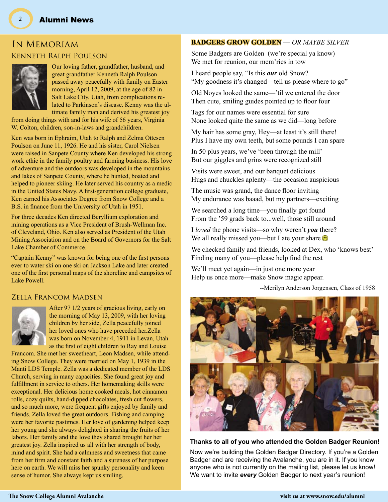### In Memoriam Kenneth Ralph Poulson



Our loving father, grandfather, husband, and great grandfather Kenneth Ralph Poulson passed away peacefully with family on Easter morning, April 12, 2009, at the age of 82 in Salt Lake City, Utah, from complications related to Parkinson's disease. Kenny was the ultimate family man and derived his greatest joy

from doing things with and for his wife of 56 years, Virginia W. Colton, children, son-in-laws and grandchildren.

Ken was born in Ephraim, Utah to Ralph and Zelma Ottesen Poulson on June 11, 1926. He and his sister, Carol Nielsen were raised in Sanpete County where Ken developed his strong work ethic in the family poultry and farming business. His love of adventure and the outdoors was developed in the mountains and lakes of Sanpete County, where he hunted, boated and helped to pioneer skiing. He later served his country as a medic in the United States Navy. A first-generation college graduate, Ken earned his Associates Degree from Snow College and a B.S. in finance from the University of Utah in 1951.

For three decades Ken directed Beryllium exploration and mining operations as a Vice President of Brush-Wellman Inc. of Cleveland, Ohio. Ken also served as President of the Utah Mining Association and on the Board of Governors for the Salt Lake Chamber of Commerce.

"Captain Kenny" was known for being one of the first persons ever to water ski on one ski on Jackson Lake and later created one of the first personal maps of the shoreline and campsites of Lake Powell.

#### Zella Francom Madsen



After 97 1/2 years of gracious living, early on the morning of May 13, 2009, with her loving children by her side, Zella peacefully joined her loved ones who have preceded her.Zella was born on November 4, 1911 in Levan, Utah as the first of eight children to Ray and Louise

Francom. She met her sweetheart, Leon Madsen, while attending Snow College. They were married on May 1, 1939 in the Manti LDS Temple. Zella was a dedicated member of the LDS Church, serving in many capacities. She found great joy and fulfillment in service to others. Her homemaking skills were exceptional. Her delicious home cooked meals, hot cinnamon rolls, cozy quilts, hand-dipped chocolates, fresh cut flowers, and so much more, were frequent gifts enjoyed by family and friends. Zella loved the great outdoors. Fishing and camping were her favorite pastimes. Her love of gardening helped keep her young and she always delighted in sharing the fruits of her labors. Her family and the love they shared brought her her greatest joy. Zella inspired us all with her strength of body, mind and spirit. She had a calmness and sweetness that came from her firm and constant faith and a sureness of her purpose here on earth. We will miss her spunky personality and keen sense of humor. She always kept us smiling.

#### **BADGERS GROW GOLDEN —** *OR MAYBE SILVER*

Some Badgers are Golden (we're special ya know) We met for reunion, our mem'ries in tow

I heard people say, "Is this *our* old Snow? "My goodness it's changed—tell us please where to go"

Old Noyes looked the same—'til we entered the door Then cute, smiling guides pointed up to floor four

Tags for our names were essential for sure None looked quite the same as we did—long before

My hair has some gray, Hey—at least it's still there! Plus I have my own teeth, but some pounds I can spare

In 50 plus years, we've 'been through the mill' But our giggles and grins were recognized still

Visits were sweet, and our banquet delicious Hugs and chuckles aplenty—the occasion auspicious

The music was grand, the dance floor inviting My endurance was baaad, but my partners—exciting

We searched a long time—you finally got found From the '59 grads back to...well, those still around

I *loved* the phone visits—so why weren't *you* there? We all really missed you—but I ate your share

We checked family and friends, looked at Dex, who 'knows best' Finding many of you—please help find the rest

We'll meet yet again—in just one more year Help us once more—make Snow magic appear.

--Merilyn Anderson Jorgensen, Class of 1958



#### **Thanks to all of you who attended the Golden Badger Reunion!**

Now we're building the Golden Badger Directory. If you're a Golden Badger and are receiving the Avalanche, you are in it. If you know anyone who is not currently on the mailing list, please let us know! We want to invite *every* Golden Badger to next year's reunion!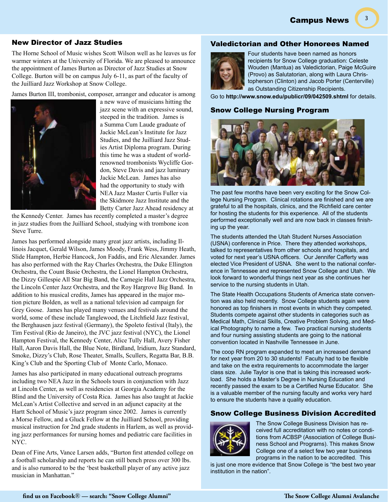Campus News

#### New Director of Jazz Studies

The Horne School of Music wishes Scott Wilson well as he leaves us for warmer winters at the University of Florida. We are pleased to announce the appointment of James Burton as Director of Jazz Studies at Snow College. Burton will be on campus July 6-11, as part of the faculty of the Juilliard Jazz Workshop at Snow College.

James Burton III, trombonist, composer, arranger and educator is among



a new wave of musicians hitting the jazz scene with an expressive sound, steeped in the tradition. James is a Summa Cum Laude graduate of Jackie McLean's Institute for Jazz Studies, and the Juilliard Jazz Studies Artist Diploma program. During this time he was a student of worldrenowned trombonists Wycliffe Gordon, Steve Davis and jazz luminary Jackie McLean. James has also had the opportunity to study with NEA Jazz Master Curtis Fuller via the Skidmore Jazz Institute and the Betty Carter Jazz Ahead residency at

the Kennedy Center. James has recently completed a master's degree in jazz studies from the Juilliard School, studying with trombone icon Steve Turre.

James has performed alongside many great jazz artists, including Illinois Jacquet, Gerald Wilson, James Moody, Frank Wess, Jimmy Heath, Slide Hampton, Herbie Hancock, Jon Faddis, and Eric Alexander. James has also performed with the Ray Charles Orchestra, the Duke Ellington Orchestra, the Count Basie Orchestra, the Lionel Hampton Orchestra, the Dizzy Gillespie All Star Big Band, the Carnegie Hall Jazz Orchestra, the Lincoln Center Jazz Orchestra, and the Roy Hargrove Big Band. In addition to his musical credits, James has appeared in the major motion picture Bolden, as well as a national television ad campaign for Grey Goose. James has played many venues and festivals around the world, some of these include Tanglewood, the Litchfield Jazz festival, the Berghausen jazz festival (Germany), the Spoleto festival (Italy), the Tim Festival (Rio de Janeiro), the JVC jazz festival (NYC), the Lionel Hampton Festival, the Kennedy Center, Alice Tully Hall, Avery Fisher Hall, Aaron Davis Hall, the Blue Note, Birdland, Iridium, Jazz Standard, Smoke, Dizzy's Club, Rose Theater, Smalls, Scullers, Regatta Bar, B.B. King's Club and the Sporting Club of Monte Carlo, Monaco.

James has also participated in many educational outreach programs including two NEA Jazz in the Schools tours in conjunction with Jazz at Lincoln Center, as well as residencies at Georgia Academy for the Blind and the University of Costa Rica. James has also taught at Jackie McLean's Artist Collective and served in an adjunct capacity at the Hartt School of Music's jazz program since 2002. James is currently a Morse Fellow, and a Gluck Fellow at the Juilliard School, providing musical instruction for 2nd grade students in Harlem, as well as providing jazz performances for nursing homes and pediatric care facilities in NYC.

Dean of Fine Arts, Vance Larsen adds, "Burton first attended college on a football scholarship and reports he can still bench press over 300 lbs. and is also rumored to be the 'best basketball player of any active jazz musician in Manhattan."

#### Valedictorian and Other Honorees Named



Four students have been named as honors recipients for Snow College graduation: Celeste Wouden (Mantua) as Valedictorian, Paige McGuire (Provo) as Salutatorian, along with Laura Christopherson (Clinton) and Jacob Porter (Centerville) as Outstanding Citizenship Recipients.

Go to **http://www.snow.edu/publicr/09/042509.shtml** for details.

#### Snow College Nursing Program



The past few months have been very exciting for the Snow College Nursing Program. Clinical rotations are finished and we are grateful to all the hospitals, clinics, and the Richfield care center for hosting the students for this experience. All of the students performed exceptionally well and are now back in classes finishing up the year.

The students attended the Utah Student Nurses Association (USNA) conference in Price. There they attended workshops, talked to representatives from other schools and hospitals, and voted for next year's USNA officers. Our Jennifer Cafferty was elected Vice President of USNA. She went to the national conference in Tennessee and represented Snow College and Utah. We look forward to wonderful things next year as she continues her service to the nursing students in Utah.

The State Health Occupations Students of America state convention was also held recently. Snow College students again were honored as top finishers in most events in which they competed. Students compete against other students in categories such as Medical Math, Clinical Skills, Creative Problem Solving, and Medical Photography to name a few. Two practical nursing students and four nursing assisting students are going to the national convention located in Nashville Tennessee in June.

The coop RN program expanded to meet an increased demand for next year from 20 to 30 students! Faculty had to be flexible and take on the extra requirements to accommodate the larger class size. Julie Taylor is one that is taking this increased workload. She holds a Master's Degree in Nursing Education and recently passed the exam to be a Certified Nurse Educator. She is a valuable member of the nursing faculty and works very hard to ensure the students have a quality education.

#### Snow College Business Division Accredited



The Snow College Business Division has received full accreditation with no notes or conditions from ACBSP (Association of College Business School and Programs). This makes Snow College one of a select few two year business programs in the nation to be accredited. This

is just one more evidence that Snow College is "the best two year institution in the nation".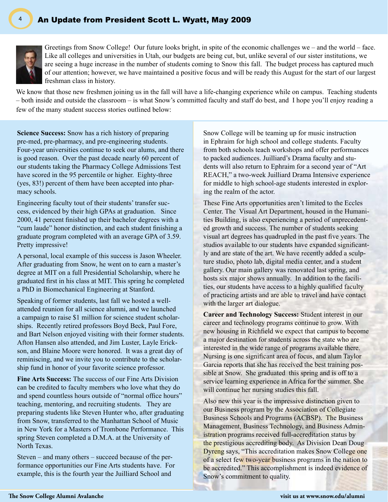

Greetings from Snow College! Our future looks bright, in spite of the economic challenges we – and the world – face. Like all colleges and universities in Utah, our budgets are being cut, but, unlike several of our sister institutions, we are seeing a huge increase in the number of students coming to Snow this fall. The budget process has captured much of our attention; however, we have maintained a positive focus and will be ready this August for the start of our largest freshman class in history.

We know that those new freshmen joining us in the fall will have a life-changing experience while on campus. Teaching students – both inside and outside the classroom – is what Snow's committed faculty and staff do best, and I hope you'll enjoy reading a few of the many student success stories outlined below:

**Science Success:** Snow has a rich history of preparing pre-med, pre-pharmacy, and pre-engineering students. Four-year universities continue to seek our alums, and there is good reason. Over the past decade nearly 60 percent of our students taking the Pharmacy College Admissions Test have scored in the 95 percentile or higher. Eighty-three (yes, 83!) percent of them have been accepted into pharmacy schools.

Engineering faculty tout of their students' transfer success, evidenced by their high GPAs at graduation. Since 2000, 41 percent finished up their bachelor degrees with a "cum laude" honor distinction, and each student finishing a graduate program completed with an average GPA of 3.59. Pretty impressive!

A personal, local example of this success is Jason Wheeler. After graduating from Snow, he went on to earn a master's degree at MIT on a full Presidential Scholarship, where he graduated first in his class at MIT. This spring he completed a PhD in Biomechanical Engineering at Stanford.

Speaking of former students, last fall we hosted a wellattended reunion for all science alumni, and we launched a campaign to raise \$1 million for science student scholarships. Recently retired professors Boyd Beck, Paul Fore, and Bart Nelson enjoyed visiting with their former students. Afton Hansen also attended, and Jim Luster, Layle Erickson, and Blaine Moore were honored. It was a great day of reminiscing, and we invite you to contribute to the scholarship fund in honor of your favorite science professor.

**Fine Arts Success:** The success of our Fine Arts Division can be credited to faculty members who love what they do and spend countless hours outside of "normal office hours" teaching, mentoring, and recruiting students. They are preparing students like Steven Hunter who, after graduating from Snow, transferred to the Manhattan School of Music in New York for a Masters of Trombone Performance. This spring Steven completed a D.M.A. at the University of North Texas.

Steven – and many others – succeed because of the performance opportunities our Fine Arts students have. For example, this is the fourth year the Juilliard School and

Snow College will be teaming up for music instruction in Ephraim for high school and college students. Faculty from both schools teach workshops and offer performances to packed audiences. Juilliard's Drama faculty and students will also return to Ephraim for a second year of "Art REACH," a two-week Juilliard Drama Intensive experience for middle to high school-age students interested in exploring the realm of the actor.

These Fine Arts opportunities aren't limited to the Eccles Center. The Visual Art Department, housed in the Humanities Building, is also experiencing a period of unprecedented growth and success. The number of students seeking visual art degrees has quadrupled in the past five years. The studios available to our students have expanded significantly and are state of the art. We have recently added a sculpture studio, photo lab, digital media center, and a student gallery. Our main gallery was renovated last spring, and hosts six major shows annually. In addition to the facilities, our students have access to a highly qualified faculty of practicing artists and are able to travel and have contact with the larger art dialogue.

**Career and Technology Success:** Student interest in our career and technology programs continue to grow. With new housing in Richfield we expect that campus to become a major destination for students across the state who are interested in the wide range of programs available there. Nursing is one significant area of focus, and alum Taylor Garcia reports that she has received the best training possible at Snow. She graduated this spring and is off to a service learning experience in Africa for the summer. She will continue her nursing studies this fall.

Also new this year is the impressive distinction given to our Business program by the Association of Collegiate Business Schools and Programs (ACBSP). The Business Management, Business Technology, and Business Administration programs received full-accreditation status by the prestigious accrediting body. As Division Dean Doug Dyreng says, "This accreditation makes Snow College one of a select few two-year business programs in the nation to be accredited." This accomplishment is indeed evidence of Snow's commitment to quality.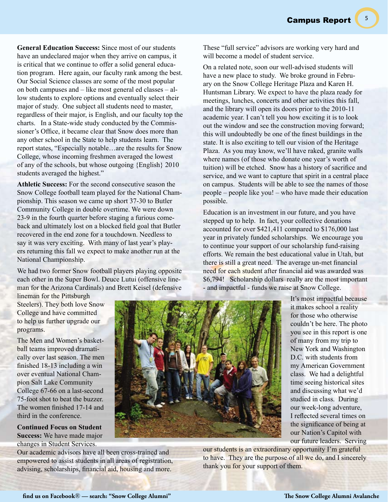5

**General Education Success:** Since most of our students have an undeclared major when they arrive on campus, it is critical that we continue to offer a solid general education program. Here again, our faculty rank among the best. Our Social Science classes are some of the most popular on both campuses and – like most general ed classes – allow students to explore options and eventually select their major of study. One subject all students need to master, regardless of their major, is English, and our faculty top the charts. In a State-wide study conducted by the Commissioner's Office, it became clear that Snow does more than any other school in the State to help students learn. The report states, "Especially notable…are the results for Snow College, whose incoming freshmen averaged the lowest of any of the schools, but whose outgoing {English} 2010 students averaged the highest."

**Athletic Success:** For the second consecutive season the Snow College football team played for the National Championship. This season we came up short 37-30 to Butler Community College in double overtime. We were down 23-9 in the fourth quarter before staging a furious comeback and ultimately lost on a blocked field goal that Butler recovered in the end zone for a touchdown. Needless to say it was very exciting. With many of last year's players returning this fall we expect to make another run at the National Championship.

We had two former Snow football players playing opposite each other in the Super Bowl. Deuce Lutui (offensive lineman for the Arizona Cardinals) and Brett Keisel (defensive These "full service" advisors are working very hard and will become a model of student service.

On a related note, soon our well-advised students will have a new place to study. We broke ground in February on the Snow College Heritage Plaza and Karen H. Huntsman Library. We expect to have the plaza ready for meetings, lunches, concerts and other activities this fall, and the library will open its doors prior to the 2010-11 academic year. I can't tell you how exciting it is to look out the window and see the construction moving forward; this will undoubtedly be one of the finest buildings in the state. It is also exciting to tell our vision of the Heritage Plaza. As you may know, we'll have raked, granite walls where names (of those who donate one year's worth of tuition) will be etched. Snow has a history of sacrifice and service, and we want to capture that spirit in a central place on campus. Students will be able to see the names of those people – people like you! – who have made their education possible.

Education is an investment in our future, and you have stepped up to help. In fact, your collective donations accounted for over \$421,411 compared to \$176,000 last year in privately funded scholarships. We encourage you to continue your support of our scholarship fund-raising efforts. We remain the best educational value in Utah, but there is still a great need. The average un-met financial need for each student after financial aid was awarded was \$6,794! Scholarship dollars really are the most important - and impactful - funds we raise at Snow College.

lineman for the Pittsburgh Steelers). They both love Snow College and have committed to help us further upgrade our programs.

The Men and Women's basketball teams improved dramatically over last season. The men finished 18-13 including a win over eventual National Champion Salt Lake Community College 67-66 on a last-second 75-foot shot to beat the buzzer. The women finished 17-14 and third in the conference.

**Continued Focus on Student Success:** We have made major changes in Student Services.

Our academic advisors have all been cross-trained and empowered to assist students in all areas of registration, advising, scholarships, financial aid, housing and more.



It's most impactful because it makes school a reality for those who otherwise couldn't be here. The photo you see in this report is one of many from my trip to New York and Washington D.C. with students from my American Government class. We had a delightful time seeing historical sites and discussing what we'd studied in class. During our week-long adventure, I reflected several times on the significance of being at our Nation's Capitol with our future leaders. Serving

our students is an extraordinary opportunity I'm grateful to have. They are the purpose of all we do, and I sincerely thank you for your support of them.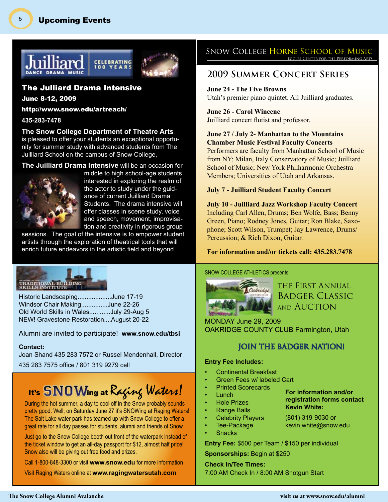

#### The Julliard Drama Intensive

June 8-12, 2009

http://www.snow.edu/artreach/

#### **435-283-7478**

6

**The Snow College Department of Theatre Arts** is pleased to offer your students an exceptional opportunity for summer study with advanced students from The Juilliard School on the campus of Snow College,

#### **The Juilliard Drama Intensive** will be an occasion for



middle to high school-age students interested in exploring the realm of the actor to study under the guidance of current Juilliard Drama Students. The drama intensive will offer classes in scene study, voice and speech, movement, improvisation and creativity in rigorous group

sessions. The goal of the intensive is to empower student artists through the exploration of theatrical tools that will enrich future endeavors in the artistic field and beyond.

## TRADITIONAL BUILDING

Historic Landscaping...................June 17-19 Windsor Chair Making...............June 22-26 Old World Skills in Wales............July 29-Aug 5 NEW! Gravestone Restoration....August 20-22

#### Alumni are invited to participate! **www.snow.edu/tbsi**

#### **Contact:**

Joan Shand 435 283 7572 or Russel Mendenhall, Director 435 283 7575 office / 801 319 9279 cell

# It's SNOWing at Raging Waters!

During the hot summer, a day to cool off in the Snow probably sounds pretty good. Well, on Saturday June 27 it's SNOWing at Raging Waters! The Salt Lake water park has teamed up with Snow College to offer a great rate for all day passes for students, alumni and friends of Snow.

Just go to the Snow College booth out front of the waterpark instead of the ticket window to get an all-day passport for \$12, almost half price! Snow also will be giving out free food and prizes.

Call 1-800-848-3300 or visit **www.snow.edu** for more information

Visit Raging Waters online at **www.ragingwatersutah.com**

# SNOW COLLEGE HORNE SCHOOL OF MUSIC

## **2009 Summer Concert Series**

**June 24 - The Five Browns** Utah's premier piano quintet. All Juilliard graduates.

#### **June 26 - Carol Wincenc** Juilliard concert flutist and professor.

#### **June 27 / July 2- Manhattan to the Mountains Chamber Music Festival Faculty Concerts**

Performers are faculty from Manhattan School of Music from NY; Milan, Italy Conservatory of Music; Juilliard School of Music; New York Philharmonic Orchestra Members; Universities of Utah and Arkansas.

#### **July 7 - Juilliard Student Faculty Concert**

**July 10 - Juilliard Jazz Workshop Faculty Concert**  Including Carl Allen, Drums; Ben Wolfe, Bass; Benny Green, Piano; Rodney Jones, Guitar; Ron Blake, Saxophone; Scott Wilson, Trumpet; Jay Lawrence, Drums/ Percussion; & Rich Dixon, Guitar.

#### **For information and/or tickets call: 435.283.7478**

#### SNOW COLLEGE ATHLETICS presents



the First Annual Badger Classic and Auction

> **For information and/or registration forms contact**

**Kevin White:** (801) 319-9030 or kevin.white@snow.edu

MONDAY June 29, 2009 OAKRIDGE COUNTY CLUB Farmington, Utah

#### **JOIN THE BADGER NATION!**

#### **Entry Fee Includes:**

- Continental Breakfast
- Green Fees w/ labeled Cart
- Printed Scorecards
- **Lunch**
- **Hole Prizes**
- Range Balls
- **Celebrity Players**
- Tee-Package **Snacks**
- **Entry Fee:** \$500 per Team / \$150 per individual

**Sponsorships:** Begin at \$250

**Check In/Tee Times:**  7:00 AM Check In / 8:00 AM Shotgun Start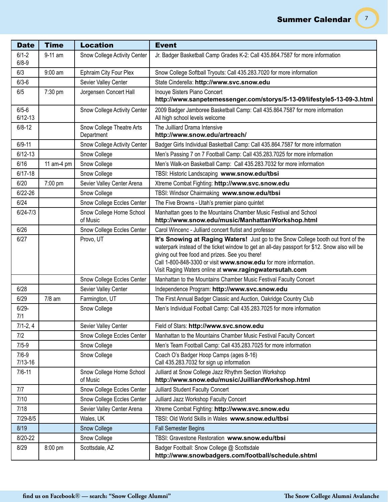$(7)$ 

| <b>Date</b>              | <b>Time</b> | <b>Location</b>                         | <b>Event</b>                                                                                                                                                                                                                                                                                                                                                       |
|--------------------------|-------------|-----------------------------------------|--------------------------------------------------------------------------------------------------------------------------------------------------------------------------------------------------------------------------------------------------------------------------------------------------------------------------------------------------------------------|
| $6/1 - 2$<br>$6/8 - 9$   | 9-11 am     | Snow College Activity Center            | Jr. Badger Basketball Camp Grades K-2: Call 435.864.7587 for more information                                                                                                                                                                                                                                                                                      |
| 6/3                      | $9:00$ am   | Ephraim City Four Plex                  | Snow College Softball Tryouts: Call 435.283.7020 for more information                                                                                                                                                                                                                                                                                              |
| $6/3 - 6$                |             | Sevier Valley Center                    | State Cinderella: http://www.svc.snow.edu                                                                                                                                                                                                                                                                                                                          |
| 6/5                      | 7:30 pm     | Jorgensen Concert Hall                  | Inouye Sisters Piano Concert<br>http://www.sanpetemessenger.com/storys/5-13-09/lifestyle5-13-09-3.html                                                                                                                                                                                                                                                             |
| $6/5 - 6$<br>$6/12 - 13$ |             | Snow College Activity Center            | 2009 Badger Jamboree Basketball Camp: Call 435.864.7587 for more information<br>All high school levels welcome                                                                                                                                                                                                                                                     |
| $6/8 - 12$               |             | Snow College Theatre Arts<br>Department | The Juilliard Drama Intensive<br>http://www.snow.edu/artreach/                                                                                                                                                                                                                                                                                                     |
| $6/9 - 11$               |             | Snow College Activity Center            | Badger Girls Individual Basketball Camp: Call 435.864.7587 for more information                                                                                                                                                                                                                                                                                    |
| $6/12 - 13$              |             | Snow College                            | Men's Passing 7 on 7 Football Camp: Call 435.283.7025 for more information                                                                                                                                                                                                                                                                                         |
| 6/16                     | 11 am-4 pm  | Snow College                            | Men's Walk-on Basketball Camp: Call 435.283.7032 for more information                                                                                                                                                                                                                                                                                              |
| $6/17 - 18$              |             | Snow College                            | TBSI: Historic Landscaping www.snow.edu/tbsi                                                                                                                                                                                                                                                                                                                       |
| 6/20                     | 7:00 pm     | Sevier Valley Center Arena              | Xtreme Combat Fighting: http://www.svc.snow.edu                                                                                                                                                                                                                                                                                                                    |
| $6/22 - 26$              |             | Snow College                            | TBSI: Windsor Chairmaking www.snow.edu/tbsi                                                                                                                                                                                                                                                                                                                        |
| 6/24                     |             | Snow College Eccles Center              | The Five Browns - Utah's premier piano quintet                                                                                                                                                                                                                                                                                                                     |
| $6/24 - 7/3$             |             | Snow College Horne School<br>of Music   | Manhattan goes to the Mountains Chamber Music Festival and School<br>http://www.snow.edu/music/ManhattanWorkshop.html                                                                                                                                                                                                                                              |
| 6/26                     |             | Snow College Eccles Center              | Carol Wincenc - Julliard concert flutist and professor                                                                                                                                                                                                                                                                                                             |
| 6/27                     |             | Provo, UT                               | It's Snowing at Raging Waters! Just go to the Snow College booth out front of the<br>waterpark instead of the ticket window to get an all-day passport for \$12. Snow also will be<br>giving out free food and prizes. See you there!<br>Call 1-800-848-3300 or visit www.snow.edu for more information.<br>Visit Raging Waters online at www.ragingwatersutah.com |
|                          |             | Snow College Eccles Center              | Manhattan to the Mountains Chamber Music Festival Faculty Concert                                                                                                                                                                                                                                                                                                  |
| 6/28                     |             | Sevier Valley Center                    | Independence Program: http://www.svc.snow.edu                                                                                                                                                                                                                                                                                                                      |
| 6/29                     | 7/8 am      | Farmington, UT                          | The First Annual Badger Classic and Auction, Oakridge Country Club                                                                                                                                                                                                                                                                                                 |
| $6/29 -$<br>7/1          |             | Snow College                            | Men's Individual Football Camp: Call 435.283.7025 for more information                                                                                                                                                                                                                                                                                             |
| $7/1 - 2, 4$             |             | Sevier Valley Center                    | Field of Stars: http://www.svc.snow.edu                                                                                                                                                                                                                                                                                                                            |
| 7/2                      |             | Snow College Eccles Center              | Manhattan to the Mountains Chamber Music Festival Faculty Concert                                                                                                                                                                                                                                                                                                  |
| $7/5-9$                  |             | Snow College                            | Men's Team Football Camp: Call 435.283.7025 for more information                                                                                                                                                                                                                                                                                                   |
| $7/6 - 9$<br>$7/13 - 16$ |             | Snow College                            | Coach O's Badger Hoop Camps (ages 8-16)<br>Call 435.283.7032 for sign up information                                                                                                                                                                                                                                                                               |
| $7/6 - 11$               |             | Snow College Horne School<br>of Music   | Julliard at Snow College Jazz Rhythm Section Workshop<br>http://www.snow.edu/music/JuilliardWorkshop.html                                                                                                                                                                                                                                                          |
| 7/7                      |             | Snow College Eccles Center              | <b>Julliard Student Faculty Concert</b>                                                                                                                                                                                                                                                                                                                            |
| 7/10                     |             | Snow College Eccles Center              | Julliard Jazz Workshop Faculty Concert                                                                                                                                                                                                                                                                                                                             |
| 7/18                     |             | Sevier Valley Center Arena              | Xtreme Combat Fighting: http://www.svc.snow.edu                                                                                                                                                                                                                                                                                                                    |
| $7/29 - 8/5$             |             | Wales, UK                               | TBSI: Old World Skills in Wales www.snow.edu/tbsi                                                                                                                                                                                                                                                                                                                  |
| 8/19                     |             | Snow College                            | <b>Fall Semester Begins</b>                                                                                                                                                                                                                                                                                                                                        |
| 8/20-22                  |             | Snow College                            | TBSI: Gravestone Restoration www.snow.edu/tbsi                                                                                                                                                                                                                                                                                                                     |
| 8/29                     | 8:00 pm     | Scottsdale, AZ                          | Badger Football: Snow College @ Scottsdale<br>http://www.snowbadgers.com/football/schedule.shtml                                                                                                                                                                                                                                                                   |